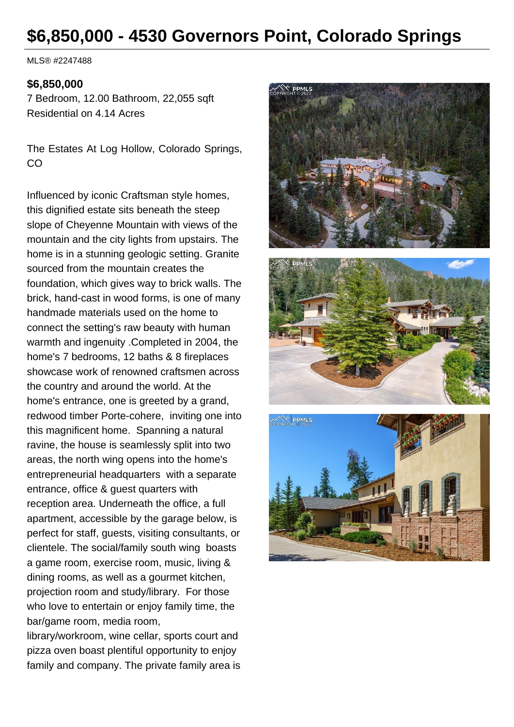# **\$6,850,000 - 4530 Governors Point, Colorado Springs**

MLS® #2247488

#### **\$6,850,000**

7 Bedroom, 12.00 Bathroom, 22,055 sqft Residential on 4.14 Acres

The Estates At Log Hollow, Colorado Springs, CO

Influenced by iconic Craftsman style homes, this dignified estate sits beneath the steep slope of Cheyenne Mountain with views of the mountain and the city lights from upstairs. The home is in a stunning geologic setting. Granite sourced from the mountain creates the foundation, which gives way to brick walls. The brick, hand-cast in wood forms, is one of many handmade materials used on the home to connect the setting's raw beauty with human warmth and ingenuity .Completed in 2004, the home's 7 bedrooms, 12 baths & 8 fireplaces showcase work of renowned craftsmen across the country and around the world. At the home's entrance, one is greeted by a grand, redwood timber Porte-cohere, inviting one into this magnificent home. Spanning a natural ravine, the house is seamlessly split into two areas, the north wing opens into the home's entrepreneurial headquarters with a separate entrance, office & guest quarters with reception area. Underneath the office, a full apartment, accessible by the garage below, is perfect for staff, guests, visiting consultants, or clientele. The social/family south wing boasts a game room, exercise room, music, living & dining rooms, as well as a gourmet kitchen, projection room and study/library. For those who love to entertain or enjoy family time, the bar/game room, media room,

library/workroom, wine cellar, sports court and pizza oven boast plentiful opportunity to enjoy family and company. The private family area is

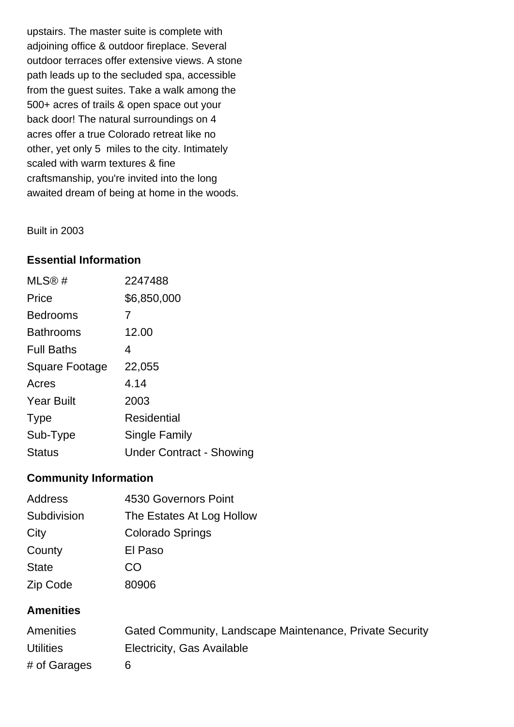upstairs. The master suite is complete with adjoining office & outdoor fireplace. Several outdoor terraces offer extensive views. A stone path leads up to the secluded spa, accessible from the guest suites. Take a walk among the 500+ acres of trails & open space out your back door! The natural surroundings on 4 acres offer a true Colorado retreat like no other, yet only 5 miles to the city. Intimately scaled with warm textures & fine craftsmanship, you're invited into the long awaited dream of being at home in the woods.

Built in 2003

#### **Essential Information**

| MLS@#                 | 2247488                         |
|-----------------------|---------------------------------|
| Price                 | \$6,850,000                     |
| <b>Bedrooms</b>       | 7                               |
| <b>Bathrooms</b>      | 12.00                           |
| <b>Full Baths</b>     | 4                               |
| <b>Square Footage</b> | 22,055                          |
| Acres                 | 4.14                            |
| <b>Year Built</b>     | 2003                            |
| <b>Type</b>           | <b>Residential</b>              |
| Sub-Type              | Single Family                   |
| <b>Status</b>         | <b>Under Contract - Showing</b> |

#### **Community Information**

| Address      | 4530 Governors Point      |  |
|--------------|---------------------------|--|
| Subdivision  | The Estates At Log Hollow |  |
| City         | <b>Colorado Springs</b>   |  |
| County       | El Paso                   |  |
| <b>State</b> | CO                        |  |
| Zip Code     | 80906                     |  |

#### **Amenities**

| <b>Amenities</b> | Gated Community, Landscape Maintenance, Private Security |
|------------------|----------------------------------------------------------|
| <b>Utilities</b> | Electricity, Gas Available                               |
| # of Garages     |                                                          |